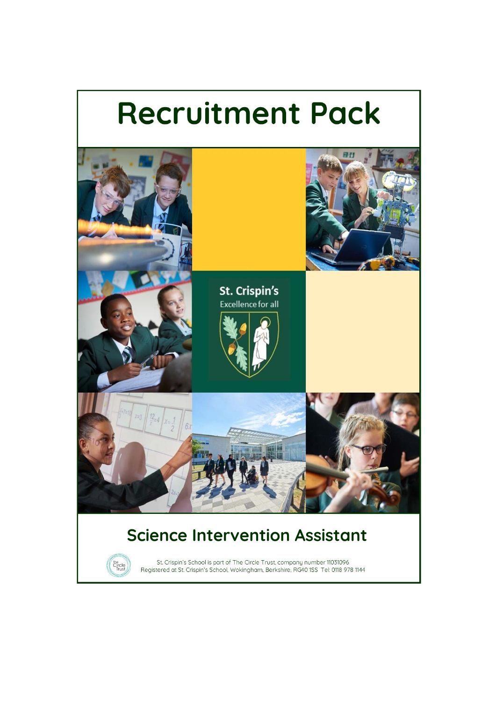# **Recruitment Pack**

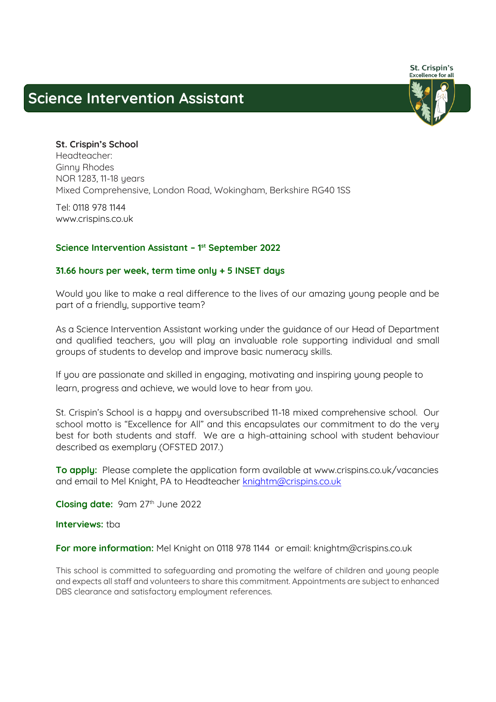# **Science Intervention Assistant**



**St. Crispin's School Headteacher: Ginny Rhodes NOR 1283, 11-18 years Mixed Comprehensive, London Road, Wokingham, Berkshire RG40 1SS** 

**Tel: 0118 978 1144 www.crispins.co.uk**

### **Science Intervention Assistant – 1 st September 2022**

### **31.66 hours per week, term time only + 5 INSET days**

**Would you like to make a real difference to the lives of our amazing young people and be part of a friendly, supportive team?**

**As a Science Intervention Assistant working under the guidance of our Head of Department and qualified teachers, you will play an invaluable role supporting individual and small groups of students to develop and improve basic numeracy skills.** 

**If you are passionate and skilled in engaging, motivating and inspiring young people to learn, progress and achieve, we would love to hear from you.**

**St. Crispin's School is a happy and oversubscribed 11-18 mixed comprehensive school. Our school motto is "Excellence for All" and this encapsulates our commitment to do the very best for both students and staff. We are a high-attaining school with student behaviour described as exemplary (OFSTED 2017.)** 

**To apply: Please complete the application form available at [www.crispins.co.uk/vacancies](https://www.crispins.co.uk/vacancies/) and email to Mel Knight, PA to Headteacher [knightm@crispins.co.uk](mailto:knightm@crispins.co.uk)**

**Closing date: 9am 27th June 2022**

**Interviews: tba**

**For more information: Mel Knight on 0118 978 1144 or email: [knightm@crispins.co.uk](mailto:knightm@crispins.co.uk)**

**This school is committed to safeguarding and promoting the welfare of children and young people and expects all staff and volunteers to share this commitment. Appointments are subject to enhanced DBS clearance and satisfactory employment references.**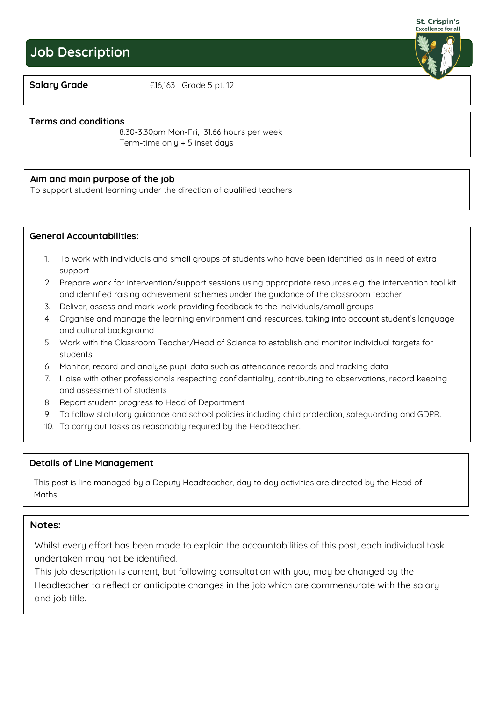# **Job Description**

St. Crispin's **Excellence for all** 

**Salary Grade £16,163 Grade 5 pt. 12**

### **Terms and conditions**

Hours per week:

**8.30-3.30pm Mon-Fri, 31.66 hours per week Term-time only + 5 inset days**

### **Aim and main purpose of the job**

**To support student learning under the direction of qualified teachers**

### **General Accountabilities:**

- **1. To work with individuals and small groups of students who have been identified as in need of extra support**
- **2. Prepare work for intervention/support sessions using appropriate resources e.g. the intervention tool kit and identified raising achievement schemes under the guidance of the classroom teacher**
- **3. Deliver, assess and mark work providing feedback to the individuals/small groups**
- **4. Organise and manage the learning environment and resources, taking into account student's language and cultural background**
- **5. Work with the Classroom Teacher/Head of Science to establish and monitor individual targets for students**
- **6. Monitor, record and analyse pupil data such as attendance records and tracking data**
- **7. Liaise with other professionals respecting confidentiality, contributing to observations, record keeping and assessment of students**
- **8. Report student progress to Head of Department**
- **9. To follow statutory guidance and school policies including child protection, safeguarding and GDPR.**
- **10. To carry out tasks as reasonably required by the Headteacher.**

### **Details of Line Management**

**This post is line managed by a Deputy Headteacher, day to day activities are directed by the Head of Maths.**

### **Notes:**

 $\overline{a}$ 

**Whilst every effort has been made to explain the accountabilities of this post, each individual task undertaken may not be identified.**

**This job description is current, but following consultation with you, may be changed by the Headteacher to reflect or anticipate changes in the job which are commensurate with the salary and job title.**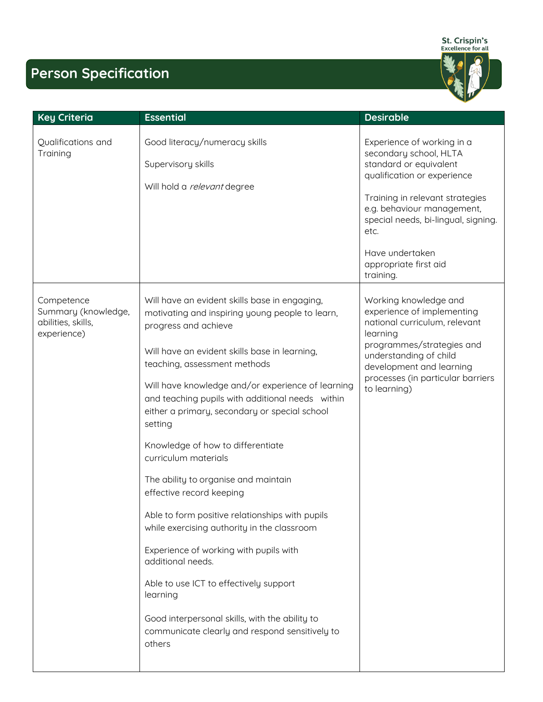

# **Person Specification**

| <b>Key Criteria</b>                                                    | <b>Essential</b>                                                                                                                                                                                                                                                                                                                                                                                                                                                                    | <b>Desirable</b>                                                                                                                                                                                                                                                          |
|------------------------------------------------------------------------|-------------------------------------------------------------------------------------------------------------------------------------------------------------------------------------------------------------------------------------------------------------------------------------------------------------------------------------------------------------------------------------------------------------------------------------------------------------------------------------|---------------------------------------------------------------------------------------------------------------------------------------------------------------------------------------------------------------------------------------------------------------------------|
| Qualifications and<br>Training                                         | Good literacy/numeracy skills<br>Supervisory skills<br>Will hold a relevant degree                                                                                                                                                                                                                                                                                                                                                                                                  | Experience of working in a<br>secondary school, HLTA<br>standard or equivalent<br>qualification or experience<br>Training in relevant strategies<br>e.g. behaviour management,<br>special needs, bi-lingual, signing.<br>etc.<br>Have undertaken<br>appropriate first aid |
| Competence<br>Summary (knowledge,<br>abilities, skills,<br>experience) | Will have an evident skills base in engaging,<br>motivating and inspiring young people to learn,<br>progress and achieve<br>Will have an evident skills base in learning,<br>teaching, assessment methods<br>Will have knowledge and/or experience of learning<br>and teaching pupils with additional needs within<br>either a primary, secondary or special school<br>setting<br>Knowledge of how to differentiate<br>curriculum materials<br>The ability to organise and maintain | Working knowledge and<br>experience of implementing<br>national curriculum, relevant<br>learning<br>programmes/strategies and<br>understanding of child<br>development and learning<br>processes (in particular barriers<br>to learning)                                  |
|                                                                        | effective record keeping<br>Able to form positive relationships with pupils<br>while exercising authority in the classroom<br>Experience of working with pupils with<br>additional needs.<br>Able to use ICT to effectively support<br>learning<br>Good interpersonal skills, with the ability to<br>communicate clearly and respond sensitively to<br>others                                                                                                                       |                                                                                                                                                                                                                                                                           |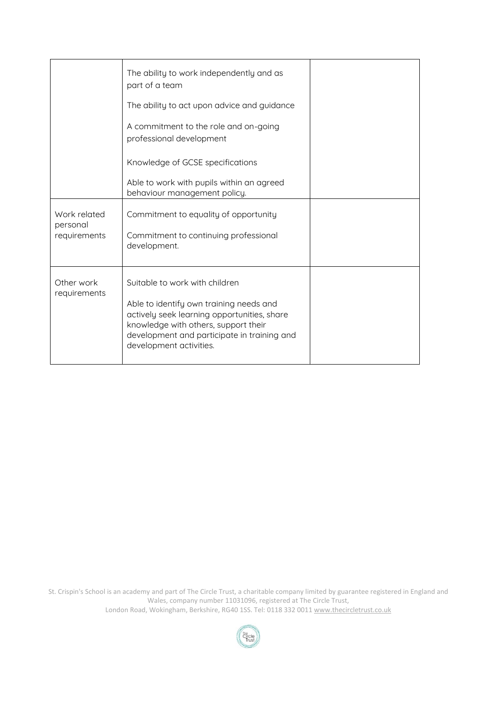|                                          | The ability to work independently and as<br>part of a team                                                                                                                                                                                 |  |
|------------------------------------------|--------------------------------------------------------------------------------------------------------------------------------------------------------------------------------------------------------------------------------------------|--|
|                                          | The ability to act upon advice and guidance                                                                                                                                                                                                |  |
|                                          | A commitment to the role and on-going<br>professional development                                                                                                                                                                          |  |
|                                          | Knowledge of GCSE specifications                                                                                                                                                                                                           |  |
|                                          | Able to work with pupils within an agreed<br>behaviour management policy.                                                                                                                                                                  |  |
| Work related<br>personal<br>requirements | Commitment to equality of opportunity<br>Commitment to continuing professional<br>development.                                                                                                                                             |  |
| Other work<br>requirements               | Suitable to work with children<br>Able to identify own training needs and<br>actively seek learning opportunities, share<br>knowledge with others, support their<br>development and participate in training and<br>development activities. |  |

St. Crispin's School is an academy and part of The Circle Trust, a charitable company limited by guarantee registered in England and Wales, company number 11031096, registered at The Circle Trust, London Road, Wokingham, Berkshire, RG40 1SS. Tel: 0118 332 001[1 www.thecircletrust.co.uk](http://www.thecircletrust.co.uk/)

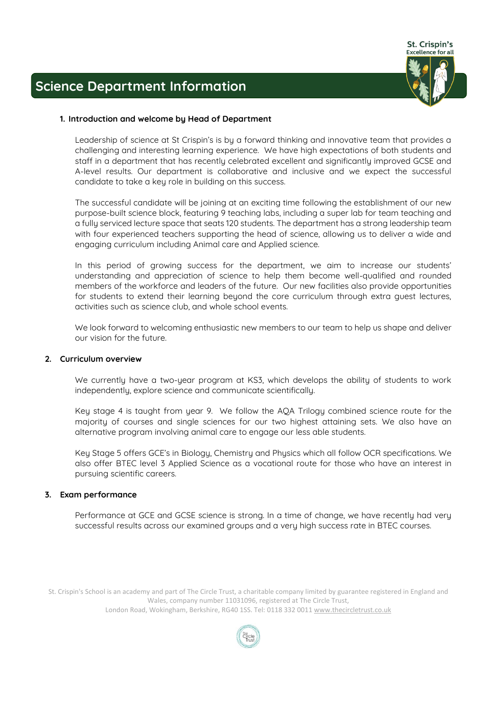

## **Science Department Information**

### **1. Introduction and welcome by Head of Department**

**Leadership of science at St Crispin's is by a forward thinking and innovative team that provides a challenging and interesting learning experience. We have high expectations of both students and staff in a department that has recently celebrated excellent and significantly improved GCSE and A-level results. Our department is collaborative and inclusive and we expect the successful candidate to take a key role in building on this success.**

**The successful candidate will be joining at an exciting time following the establishment of our new purpose-built science block, featuring 9 teaching labs, including a super lab for team teaching and a fully serviced lecture space that seats 120 students. The department has a strong leadership team with four experienced teachers supporting the head of science, allowing us to deliver a wide and engaging curriculum including Animal care and Applied science.** 

**In this period of growing success for the department, we aim to increase our students' understanding and appreciation of science to help them become well-qualified and rounded members of the workforce and leaders of the future. Our new facilities also provide opportunities for students to extend their learning beyond the core curriculum through extra guest lectures, activities such as science club, and whole school events.** 

**We look forward to welcoming enthusiastic new members to our team to help us shape and deliver our vision for the future.**

### **2. Curriculum overview**

**We currently have a two-year program at KS3, which develops the ability of students to work independently, explore science and communicate scientifically.** 

**Key stage 4 is taught from year 9. We follow the AQA Trilogy combined science route for the majority of courses and single sciences for our two highest attaining sets. We also have an alternative program involving animal care to engage our less able students.** 

**Key Stage 5 offers GCE's in Biology, Chemistry and Physics which all follow OCR specifications. We also offer BTEC level 3 Applied Science as a vocational route for those who have an interest in pursuing scientific careers.**

### **3. Exam performance**

**Performance at GCE and GCSE science is strong. In a time of change, we have recently had very successful results across our examined groups and a very high success rate in BTEC courses.** 

St. Crispin's School is an academy and part of The Circle Trust, a charitable company limited by guarantee registered in England and Wales, company number 11031096, registered at The Circle Trust,

London Road, Wokingham, Berkshire, RG40 1SS. Tel: 0118 332 001[1 www.thecircletrust.co.uk](http://www.thecircletrust.co.uk/)